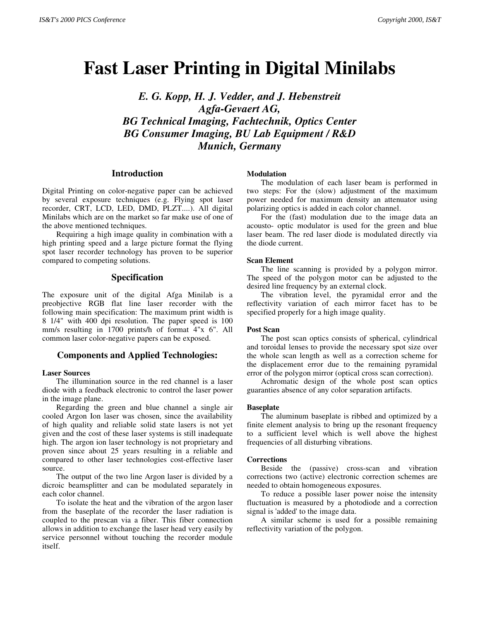# **Fast Laser Printing in Digital Minilabs**

*E. G. Kopp, H. J. Vedder, and J. Hebenstreit Agfa-Gevaert AG, BG Technical Imaging, Fachtechnik, Optics Center BG Consumer Imaging, BU Lab Equipment / R&D Munich, Germany SATY* 200 PIG George **F 5ISK LASSET Principal in Digital Minilahs** *E. G. Kopp, B. J. Vedder, and J. Heberstreit Algo Minical Age of February Additional Phage Conference <i>Algo Conference Additional Phage Conferenc* 

## **Introduction**

Digital Printing on color-negative paper can be achieved by several exposure techniques (e.g. Flying spot laser recorder, CRT, LCD, LED, DMD, PLZT....). All digital Minilabs which are on the market so far make use of one of the above mentioned techniques.

Requiring a high image quality in combination with a high printing speed and a large picture format the flying spot laser recorder technology has proven to be superior compared to competing solutions.

# **Specification**

The exposure unit of the digital Afga Minilab is a preobjective RGB flat line laser recorder with the following main specification: The maximum print width is 8 1/4" with 400 dpi resolution. The paper speed is 100 mm/s resulting in 1700 prints/h of format 4"x 6". All common laser color-negative papers can be exposed.

# **Components and Applied Technologies:**

#### **Laser Sources**

The illumination source in the red channel is a laser diode with a feedback electronic to control the laser power in the image plane.

Regarding the green and blue channel a single air cooled Argon Ion laser was chosen, since the availability of high quality and reliable solid state lasers is not yet given and the cost of these laser systems is still inadequate high. The argon ion laser technology is not proprietary and proven since about 25 years resulting in a reliable and compared to other laser technologies cost-effective laser source.

The output of the two line Argon laser is divided by a dicroic beamsplitter and can be modulated separately in each color channel.

To isolate the heat and the vibration of the argon laser from the baseplate of the recorder the laser radiation is coupled to the prescan via a fiber. This fiber connection allows in addition to exchange the laser head very easily by service personnel without touching the recorder module itself.

### **Modulation**

The modulation of each laser beam is performed in two steps: For the (slow) adjustment of the maximum power needed for maximum density an attenuator using polarizing optics is added in each color channel.

For the (fast) modulation due to the image data an acousto- optic modulator is used for the green and blue laser beam. The red laser diode is modulated directly via the diode current.

## **Scan Element**

The line scanning is provided by a polygon mirror. The speed of the polygon motor can be adjusted to the desired line frequency by an external clock.

The vibration level, the pyramidal error and the reflectivity variation of each mirror facet has to be specified properly for a high image quality.

#### **Post Scan**

The post scan optics consists of spherical, cylindrical and toroidal lenses to provide the necessary spot size over the whole scan length as well as a correction scheme for the displacement error due to the remaining pyramidal error of the polygon mirror (optical cross scan correction).

Achromatic design of the whole post scan optics guaranties absence of any color separation artifacts.

#### **Baseplate**

The aluminum baseplate is ribbed and optimized by a finite element analysis to bring up the resonant frequency to a sufficient level which is well above the highest frequencies of all disturbing vibrations.

#### **Corrections**

Beside the (passive) cross-scan and vibration corrections two (active) electronic correction schemes are needed to obtain homogeneous exposures.

To reduce a possible laser power noise the intensity fluctuation is measured by a photodiode and a correction signal is 'added' to the image data.

A similar scheme is used for a possible remaining reflectivity variation of the polygon.